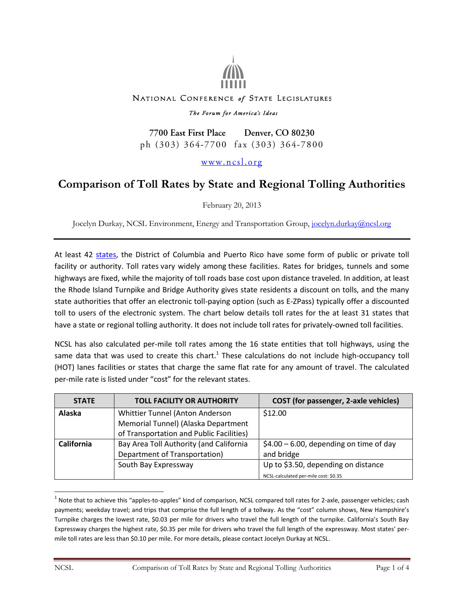

## NATIONAL CONFERENCE of STATE LEGISLATURES

## The Forum for America's Ideas

7700 East First Place Denver, CO 80230 ph (303) 364-7700 fax (303) 364-7800

## www.ncsl.org

## **Comparison of Toll Rates by State and Regional Tolling Authorities**

February 20, 2013

Jocelyn Durkay, NCSL Environment, Energy and Transportation Group, [jocelyn.durkay@ncsl.org](mailto:jocelyn.durkay@ncsl.org)

At least 42 [states,](http://www.ncsl.org/default.aspx?tabid=24511) the District of Columbia and Puerto Rico have some form of public or private toll facility or authority. Toll rates vary widely among these facilities. Rates for bridges, tunnels and some highways are fixed, while the majority of toll roads base cost upon distance traveled. In addition, at least the Rhode Island Turnpike and Bridge Authority gives state residents a discount on tolls, and the many state authorities that offer an electronic toll-paying option (such as E-ZPass) typically offer a discounted toll to users of the electronic system. The chart below details toll rates for the at least 31 states that have a state or regional tolling authority. It does not include toll rates for privately-owned toll facilities.

NCSL has also calculated per-mile toll rates among the 16 state entities that toll highways, using the same data that was used to create this chart.<sup>1</sup> These calculations do not include high-occupancy toll (HOT) lanes facilities or states that charge the same flat rate for any amount of travel. The calculated per-mile rate is listed under "cost" for the relevant states.

| <b>STATE</b> | <b>TOLL FACILITY OR AUTHORITY</b>        | <b>COST</b> (for passenger, 2-axle vehicles) |
|--------------|------------------------------------------|----------------------------------------------|
| Alaska       | Whittier Tunnel (Anton Anderson          | \$12.00                                      |
|              | Memorial Tunnel) (Alaska Department      |                                              |
|              | of Transportation and Public Facilities) |                                              |
| California   | Bay Area Toll Authority (and California  | $$4.00 - 6.00$ , depending on time of day    |
|              | Department of Transportation)            | and bridge                                   |
|              | South Bay Expressway                     | Up to \$3.50, depending on distance          |
|              |                                          | NCSL-calculated per-mile cost: \$0.35        |

 $^1$  Note that to achieve this "apples-to-apples" kind of comparison, NCSL compared toll rates for 2-axle, passenger vehicles; cash payments; weekday travel; and trips that comprise the full length of a tollway. As the "cost" column shows, New Hampshire's Turnpike charges the lowest rate, \$0.03 per mile for drivers who travel the full length of the turnpike. California's South Bay Expressway charges the highest rate, \$0.35 per mile for drivers who travel the full length of the expressway. Most states' permile toll rates are less than \$0.10 per mile. For more details, please contact Jocelyn Durkay at NCSL.

 $\overline{a}$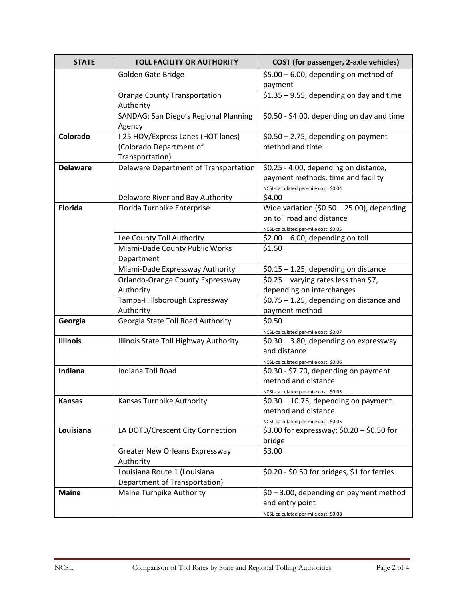| <b>STATE</b>    | <b>TOLL FACILITY OR AUTHORITY</b>                | <b>COST</b> (for passenger, 2-axle vehicles)                                        |
|-----------------|--------------------------------------------------|-------------------------------------------------------------------------------------|
|                 | Golden Gate Bridge                               | $$5.00 - 6.00$ , depending on method of                                             |
|                 |                                                  | payment                                                                             |
|                 | <b>Orange County Transportation</b><br>Authority | $$1.35 - 9.55$ , depending on day and time                                          |
|                 | SANDAG: San Diego's Regional Planning<br>Agency  | \$0.50 - \$4.00, depending on day and time                                          |
| Colorado        | I-25 HOV/Express Lanes (HOT lanes)               | $$0.50 - 2.75$ , depending on payment                                               |
|                 | (Colorado Department of                          | method and time                                                                     |
|                 | Transportation)                                  |                                                                                     |
| <b>Delaware</b> | Delaware Department of Transportation            | \$0.25 - 4.00, depending on distance,                                               |
|                 |                                                  | payment methods, time and facility                                                  |
|                 |                                                  | NCSL-calculated per-mile cost: \$0.04                                               |
|                 | Delaware River and Bay Authority                 | \$4.00                                                                              |
| <b>Florida</b>  | Florida Turnpike Enterprise                      | Wide variation (\$0.50 - 25.00), depending                                          |
|                 |                                                  | on toll road and distance                                                           |
|                 | Lee County Toll Authority                        | NCSL-calculated per-mile cost: \$0.05<br>$$2.00 - 6.00$ , depending on toll         |
|                 | Miami-Dade County Public Works                   | \$1.50                                                                              |
|                 | Department                                       |                                                                                     |
|                 | Miami-Dade Expressway Authority                  | $$0.15 - 1.25$ , depending on distance                                              |
|                 | Orlando-Orange County Expressway                 | \$0.25 - varying rates less than \$7,                                               |
|                 | Authority                                        | depending on interchanges                                                           |
|                 | Tampa-Hillsborough Expressway                    | $$0.75 - 1.25$ , depending on distance and                                          |
|                 | Authority                                        | payment method                                                                      |
| Georgia         | Georgia State Toll Road Authority                | \$0.50                                                                              |
|                 |                                                  | NCSL-calculated per-mile cost: \$0.07                                               |
| <b>Illinois</b> | Illinois State Toll Highway Authority            | $$0.30 - 3.80$ , depending on expressway                                            |
|                 |                                                  | and distance                                                                        |
|                 |                                                  | NCSL-calculated per-mile cost: \$0.06                                               |
| Indiana         | Indiana Toll Road                                | \$0.30 - \$7.70, depending on payment                                               |
|                 |                                                  | method and distance                                                                 |
|                 |                                                  | NCSL-calculated per-mile cost: \$0.05                                               |
| <b>Kansas</b>   | Kansas Turnpike Authority                        | $$0.30 - 10.75$ , depending on payment                                              |
|                 |                                                  | method and distance                                                                 |
| Louisiana       | LA DOTD/Crescent City Connection                 | NCSL-calculated per-mile cost: \$0.05<br>\$3.00 for expressway; \$0.20 - \$0.50 for |
|                 |                                                  | bridge                                                                              |
|                 | Greater New Orleans Expressway                   | \$3.00                                                                              |
|                 | Authority                                        |                                                                                     |
|                 | Louisiana Route 1 (Louisiana                     | \$0.20 - \$0.50 for bridges, \$1 for ferries                                        |
|                 | Department of Transportation)                    |                                                                                     |
| <b>Maine</b>    | Maine Turnpike Authority                         | $$0 - 3.00$ , depending on payment method                                           |
|                 |                                                  | and entry point                                                                     |
|                 |                                                  | NCSL-calculated per-mile cost: \$0.08                                               |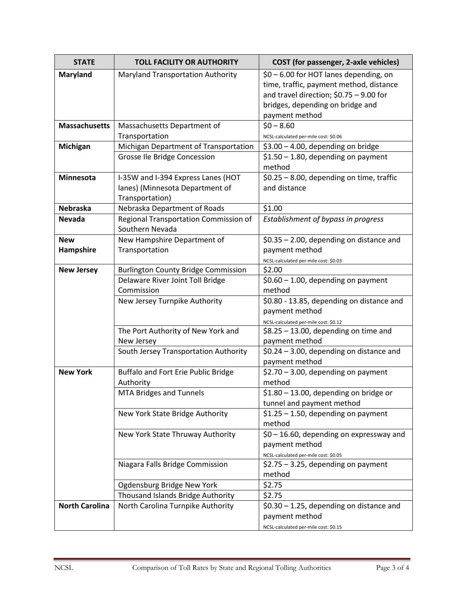| <b>STATE</b>          | <b>TOLL FACILITY OR AUTHORITY</b>          | COST (for passenger, 2-axle vehicles)                                        |
|-----------------------|--------------------------------------------|------------------------------------------------------------------------------|
| Maryland              | Maryland Transportation Authority          | \$0 - 6.00 for HOT lanes depending, on                                       |
|                       |                                            | time, traffic, payment method, distance                                      |
|                       |                                            | and travel direction; $$0.75 - 9.00$ for                                     |
|                       |                                            | bridges, depending on bridge and                                             |
|                       |                                            | payment method                                                               |
| <b>Massachusetts</b>  | Massachusetts Department of                | $$0 - 8.60$                                                                  |
|                       | Transportation                             | NCSL-calculated per-mile cost: \$0.06                                        |
| Michigan              | Michigan Department of Transportation      | $$3.00 - 4.00$ , depending on bridge                                         |
|                       | Grosse Ile Bridge Concession               | $$1.50 - 1.80$ , depending on payment                                        |
|                       |                                            | method                                                                       |
| Minnesota             | I-35W and I-394 Express Lanes (HOT         | $$0.25 - 8.00$ , depending on time, traffic                                  |
|                       | lanes) (Minnesota Department of            | and distance                                                                 |
|                       | Transportation)                            |                                                                              |
| <b>Nebraska</b>       | Nebraska Department of Roads               | \$1.00                                                                       |
| <b>Nevada</b>         | Regional Transportation Commission of      | Establishment of bypass in progress                                          |
|                       | Southern Nevada                            |                                                                              |
| <b>New</b>            | New Hampshire Department of                | $$0.35 - 2.00$ , depending on distance and                                   |
| Hampshire             | Transportation                             | payment method                                                               |
|                       |                                            | NCSL-calculated per-mile cost: \$0.03                                        |
| <b>New Jersey</b>     | <b>Burlington County Bridge Commission</b> | \$2.00                                                                       |
|                       | Delaware River Joint Toll Bridge           | $$0.60 - 1.00$ , depending on payment                                        |
|                       | Commission                                 | method                                                                       |
|                       | New Jersey Turnpike Authority              | \$0.80 - 13.85, depending on distance and                                    |
|                       |                                            | payment method                                                               |
|                       |                                            | NCSL-calculated per-mile cost: \$0.12                                        |
|                       | The Port Authority of New York and         | $$8.25 - 13.00$ , depending on time and                                      |
|                       | New Jersey                                 | payment method                                                               |
|                       | South Jersey Transportation Authority      | $$0.24 - 3.00$ , depending on distance and                                   |
|                       |                                            | payment method                                                               |
| <b>New York</b>       | Buffalo and Fort Erie Public Bridge        | \$2.70 - 3.00, depending on payment                                          |
|                       | Authority                                  | method                                                                       |
|                       | MTA Bridges and Tunnels                    | $$1.80 - 13.00$ , depending on bridge or                                     |
|                       |                                            | tunnel and payment method                                                    |
|                       | New York State Bridge Authority            | $$1.25 - 1.50$ , depending on payment                                        |
|                       |                                            | method                                                                       |
|                       | New York State Thruway Authority           | $$0 - 16.60$ , depending on expressway and                                   |
|                       |                                            | payment method                                                               |
|                       | Niagara Falls Bridge Commission            | NCSL-calculated per-mile cost: \$0.05<br>\$2.75 - 3.25, depending on payment |
|                       |                                            | method                                                                       |
|                       | Ogdensburg Bridge New York                 | \$2.75                                                                       |
|                       | Thousand Islands Bridge Authority          | \$2.75                                                                       |
| <b>North Carolina</b> | North Carolina Turnpike Authority          | $$0.30 - 1.25$ , depending on distance and                                   |
|                       |                                            | payment method                                                               |
|                       |                                            |                                                                              |
|                       |                                            | NCSL-calculated per-mile cost: \$0.15                                        |